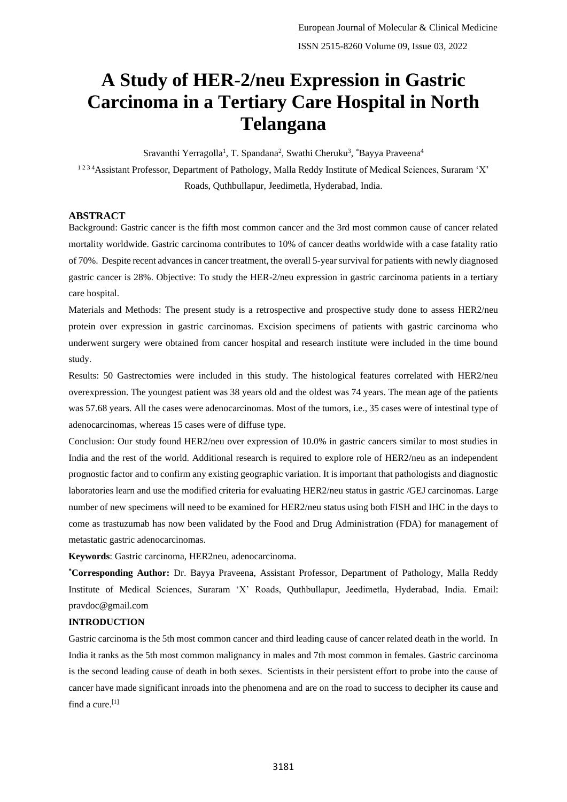# **A Study of HER-2/neu Expression in Gastric Carcinoma in a Tertiary Care Hospital in North Telangana**

Sravanthi Yerragolla<sup>1</sup>, T. Spandana<sup>2</sup>, Swathi Cheruku<sup>3</sup>, \*Bayya Praveena<sup>4</sup> <sup>1234</sup> Assistant Professor, Department of Pathology, Malla Reddy Institute of Medical Sciences, Suraram 'X' Roads, Quthbullapur, Jeedimetla, Hyderabad, India.

#### **ABSTRACT**

Background: Gastric cancer is the fifth most common cancer and the 3rd most common cause of cancer related mortality worldwide. Gastric carcinoma contributes to 10% of cancer deaths worldwide with a case fatality ratio of 70%. Despite recent advances in cancer treatment, the overall 5-year survival for patients with newly diagnosed gastric cancer is 28%. Objective: To study the HER-2/neu expression in gastric carcinoma patients in a tertiary care hospital.

Materials and Methods: The present study is a retrospective and prospective study done to assess HER2/neu protein over expression in gastric carcinomas. Excision specimens of patients with gastric carcinoma who underwent surgery were obtained from cancer hospital and research institute were included in the time bound study.

Results: 50 Gastrectomies were included in this study. The histological features correlated with HER2/neu overexpression. The youngest patient was 38 years old and the oldest was 74 years. The mean age of the patients was 57.68 years. All the cases were adenocarcinomas. Most of the tumors, i.e., 35 cases were of intestinal type of adenocarcinomas, whereas 15 cases were of diffuse type.

Conclusion: Our study found HER2/neu over expression of 10.0% in gastric cancers similar to most studies in India and the rest of the world. Additional research is required to explore role of HER2/neu as an independent prognostic factor and to confirm any existing geographic variation. It is important that pathologists and diagnostic laboratories learn and use the modified criteria for evaluating HER2/neu status in gastric /GEJ carcinomas. Large number of new specimens will need to be examined for HER2/neu status using both FISH and IHC in the days to come as trastuzumab has now been validated by the Food and Drug Administration (FDA) for management of metastatic gastric adenocarcinomas.

**Keywords**: Gastric carcinoma, HER2neu, adenocarcinoma.

**\*Corresponding Author:** Dr. Bayya Praveena, Assistant Professor, Department of Pathology, Malla Reddy Institute of Medical Sciences, Suraram 'X' Roads, Quthbullapur, Jeedimetla, Hyderabad, India. Email: pravdoc@gmail.com

#### **INTRODUCTION**

Gastric carcinoma is the 5th most common cancer and third leading cause of cancer related death in the world. In India it ranks as the 5th most common malignancy in males and 7th most common in females. Gastric carcinoma is the second leading cause of death in both sexes. Scientists in their persistent effort to probe into the cause of cancer have made significant inroads into the phenomena and are on the road to success to decipher its cause and find a cure.<sup>[1]</sup>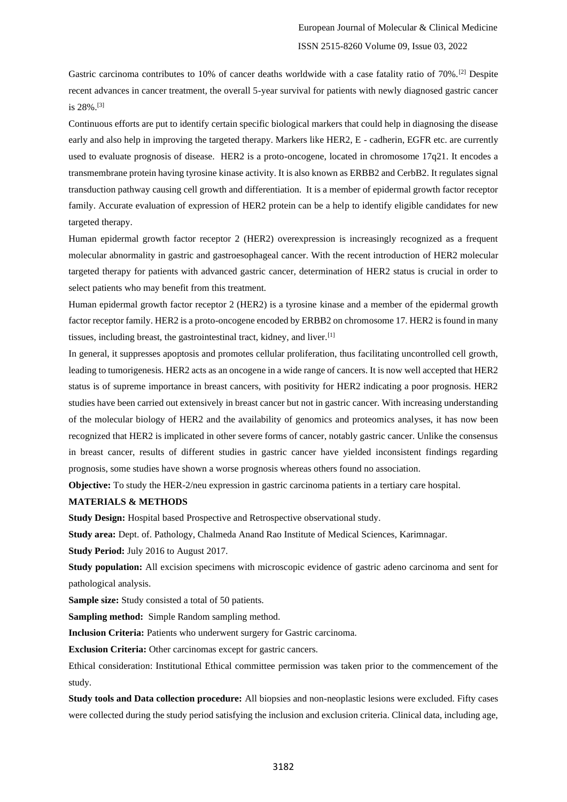Gastric carcinoma contributes to 10% of cancer deaths worldwide with a case fatality ratio of 70%.[2] Despite recent advances in cancer treatment, the overall 5-year survival for patients with newly diagnosed gastric cancer is 28%.[3]

Continuous efforts are put to identify certain specific biological markers that could help in diagnosing the disease early and also help in improving the targeted therapy. Markers like HER2, E - cadherin, EGFR etc. are currently used to evaluate prognosis of disease. HER2 is a proto-oncogene, located in chromosome 17q21. It encodes a transmembrane protein having tyrosine kinase activity. It is also known as ERBB2 and CerbB2. It regulates signal transduction pathway causing cell growth and differentiation. It is a member of epidermal growth factor receptor family. Accurate evaluation of expression of HER2 protein can be a help to identify eligible candidates for new targeted therapy.

Human epidermal growth factor receptor 2 (HER2) overexpression is increasingly recognized as a frequent molecular abnormality in gastric and gastroesophageal cancer. With the recent introduction of HER2 molecular targeted therapy for patients with advanced gastric cancer, determination of HER2 status is crucial in order to select patients who may benefit from this treatment.

Human epidermal growth factor receptor 2 (HER2) is a tyrosine kinase and a member of the epidermal growth factor receptor family. HER2 is a proto-oncogene encoded by ERBB2 on chromosome 17. HER2 is found in many tissues, including breast, the gastrointestinal tract, kidney, and liver.[1]

In general, it suppresses apoptosis and promotes cellular proliferation, thus facilitating uncontrolled cell growth, leading to tumorigenesis. HER2 acts as an oncogene in a wide range of cancers. It is now well accepted that HER2 status is of supreme importance in breast cancers, with positivity for HER2 indicating a poor prognosis. HER2 studies have been carried out extensively in breast cancer but not in gastric cancer. With increasing understanding of the molecular biology of HER2 and the availability of genomics and proteomics analyses, it has now been recognized that HER2 is implicated in other severe forms of cancer, notably gastric cancer. Unlike the consensus in breast cancer, results of different studies in gastric cancer have yielded inconsistent findings regarding prognosis, some studies have shown a worse prognosis whereas others found no association.

**Objective:** To study the HER-2/neu expression in gastric carcinoma patients in a tertiary care hospital.

#### **MATERIALS & METHODS**

**Study Design:** Hospital based Prospective and Retrospective observational study.

**Study area:** Dept. of. Pathology, Chalmeda Anand Rao Institute of Medical Sciences, Karimnagar.

**Study Period:** July 2016 to August 2017.

**Study population:** All excision specimens with microscopic evidence of gastric adeno carcinoma and sent for pathological analysis.

**Sample size:** Study consisted a total of 50 patients.

**Sampling method:** Simple Random sampling method.

**Inclusion Criteria:** Patients who underwent surgery for Gastric carcinoma.

**Exclusion Criteria:** Other carcinomas except for gastric cancers.

Ethical consideration: Institutional Ethical committee permission was taken prior to the commencement of the study.

**Study tools and Data collection procedure:** All biopsies and non-neoplastic lesions were excluded. Fifty cases were collected during the study period satisfying the inclusion and exclusion criteria. Clinical data, including age,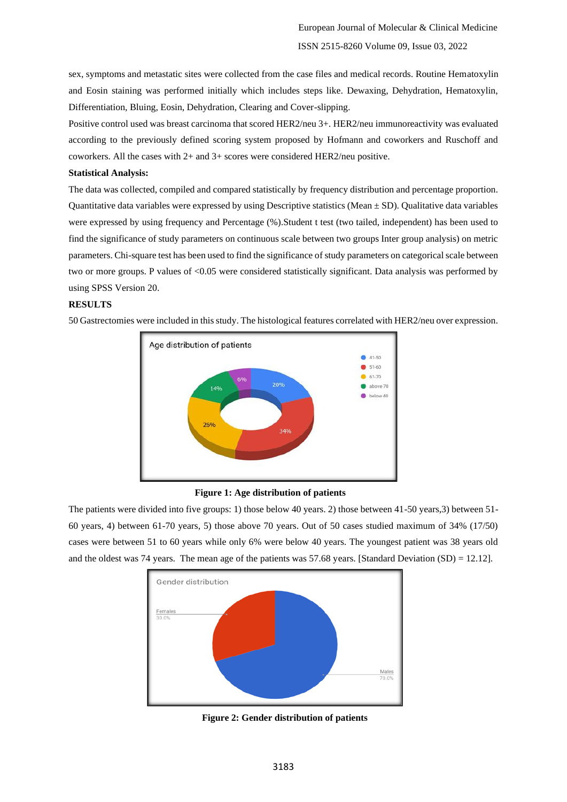sex, symptoms and metastatic sites were collected from the case files and medical records. Routine Hematoxylin and Eosin staining was performed initially which includes steps like. Dewaxing, Dehydration, Hematoxylin, Differentiation, Bluing, Eosin, Dehydration, Clearing and Cover-slipping.

Positive control used was breast carcinoma that scored HER2/neu 3+. HER2/neu immunoreactivity was evaluated according to the previously defined scoring system proposed by Hofmann and coworkers and Ruschoff and coworkers. All the cases with 2+ and 3+ scores were considered HER2/neu positive.

## **Statistical Analysis:**

The data was collected, compiled and compared statistically by frequency distribution and percentage proportion. Quantitative data variables were expressed by using Descriptive statistics (Mean  $\pm$  SD). Qualitative data variables were expressed by using frequency and Percentage (%).Student t test (two tailed, independent) has been used to find the significance of study parameters on continuous scale between two groups Inter group analysis) on metric parameters. Chi-square test has been used to find the significance of study parameters on categorical scale between two or more groups. P values of <0.05 were considered statistically significant. Data analysis was performed by using SPSS Version 20.

## **RESULTS**

Age distribution of patients 41-50  $$ 51-60$  $61-70$ 20% above 70 14% below 40 26%

50 Gastrectomies were included in this study. The histological features correlated with HER2/neu over expression.

# **Figure 1: Age distribution of patients**

The patients were divided into five groups: 1) those below 40 years. 2) those between 41-50 years,3) between 51- 60 years, 4) between 61-70 years, 5) those above 70 years. Out of 50 cases studied maximum of 34% (17/50) cases were between 51 to 60 years while only 6% were below 40 years. The youngest patient was 38 years old and the oldest was 74 years. The mean age of the patients was 57.68 years. [Standard Deviation (SD) = 12.12].



 **Figure 2: Gender distribution of patients**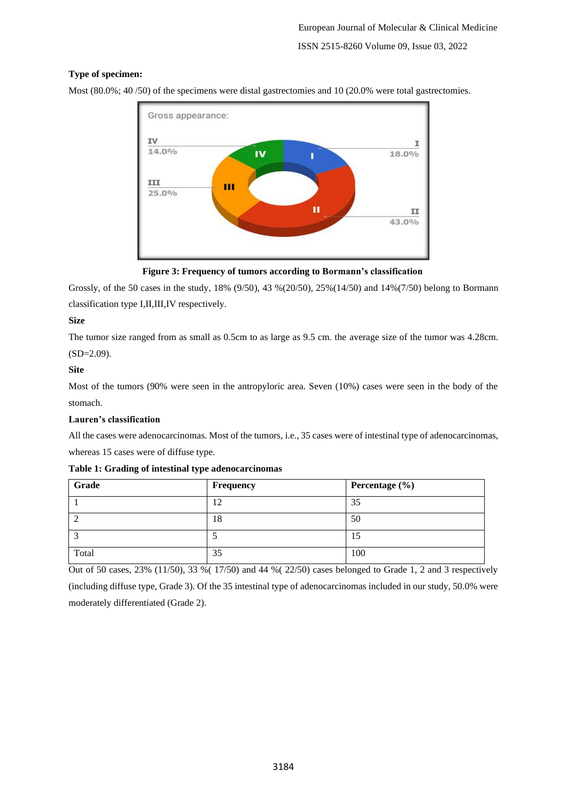# **Type of specimen:**

Most (80.0%; 40 /50) of the specimens were distal gastrectomies and 10 (20.0% were total gastrectomies.



 **Figure 3: Frequency of tumors according to Bormann's classification**

Grossly, of the 50 cases in the study, 18% (9/50), 43 %(20/50), 25%(14/50) and 14%(7/50) belong to Bormann classification type I,II,III,IV respectively.

# **Size**

The tumor size ranged from as small as 0.5cm to as large as 9.5 cm. the average size of the tumor was 4.28cm.  $(SD=2.09)$ .

# **Site**

Most of the tumors (90% were seen in the antropyloric area. Seven (10%) cases were seen in the body of the stomach.

# **Lauren's classification**

All the cases were adenocarcinomas. Most of the tumors, i.e., 35 cases were of intestinal type of adenocarcinomas, whereas 15 cases were of diffuse type.

# **Table 1: Grading of intestinal type adenocarcinomas**

| Grade | Frequency         | Percentage $(\% )$ |
|-------|-------------------|--------------------|
|       | $\sqrt{2}$<br>ے . | 35                 |
|       | 18                | 50                 |
|       |                   | LC                 |
| Total | 35                | 100                |

Out of 50 cases,  $23\%$  (11/50),  $33\%$  (17/50) and 44 % (22/50) cases belonged to Grade 1, 2 and 3 respectively

(including diffuse type, Grade 3). Of the 35 intestinal type of adenocarcinomas included in our study, 50.0% were moderately differentiated (Grade 2).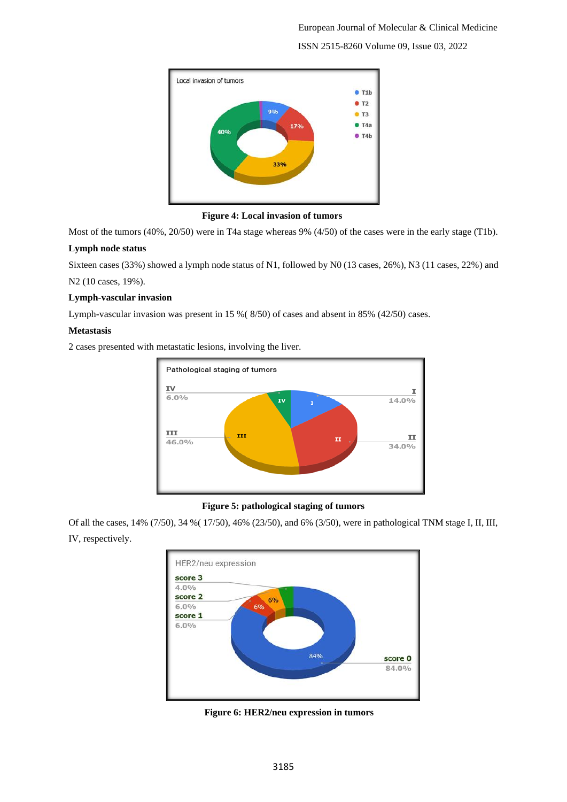

 **Figure 4: Local invasion of tumors**

Most of the tumors (40%, 20/50) were in T4a stage whereas 9% (4/50) of the cases were in the early stage (T1b).

# **Lymph node status**

Sixteen cases (33%) showed a lymph node status of N1, followed by N0 (13 cases, 26%), N3 (11 cases, 22%) and N2 (10 cases, 19%).

# **Lymph-vascular invasion**

Lymph-vascular invasion was present in 15 %( 8/50) of cases and absent in 85% (42/50) cases.

# **Metastasis**

2 cases presented with metastatic lesions, involving the liver.



# **Figure 5: pathological staging of tumors**

Of all the cases, 14% (7/50), 34 %( 17/50), 46% (23/50), and 6% (3/50), were in pathological TNM stage I, II, III, IV, respectively.



 **Figure 6: HER2/neu expression in tumors**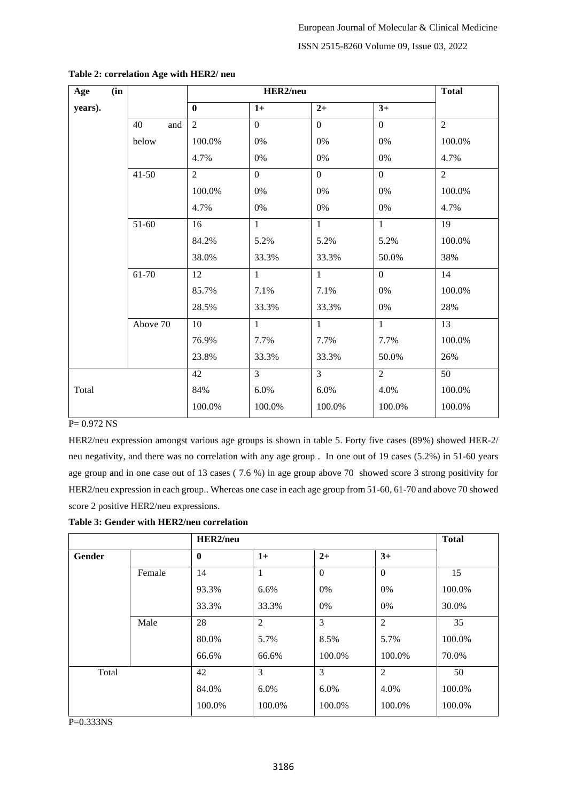| (in<br>Age |           |                |                  | <b>Total</b>   |                  |                 |
|------------|-----------|----------------|------------------|----------------|------------------|-----------------|
| years).    |           | $\bf{0}$       | $1+$             | $2+$           | $3+$             |                 |
|            | 40<br>and | $\overline{2}$ | $\overline{0}$   | $\overline{0}$ | $\overline{0}$   | $\overline{2}$  |
|            | below     | 100.0%         | $0\%$            | 0%             | 0%               | 100.0%          |
|            |           | 4.7%           | $0\%$            | $0\%$          | 0%               | 4.7%            |
|            | $41 - 50$ | $\overline{2}$ | $\boldsymbol{0}$ | $\overline{0}$ | $\boldsymbol{0}$ | $\overline{2}$  |
|            |           | 100.0%         | $0\%$            | $0\%$          | 0%               | 100.0%          |
|            |           | 4.7%           | 0%               | $0\%$          | 0%               | 4.7%            |
|            | $51-60$   | 16             | $\mathbf{1}$     | $\mathbf{1}$   | $\mathbf{1}$     | 19              |
|            |           | 84.2%          | 5.2%             | 5.2%           | 5.2%             | 100.0%          |
|            |           | 38.0%          | 33.3%            | 33.3%          | 50.0%            | 38%             |
|            | 61-70     | 12             | $\mathbf{1}$     | $\mathbf{1}$   | $\overline{0}$   | 14              |
|            |           | 85.7%          | 7.1%             | 7.1%           | $0\%$            | 100.0%          |
|            |           | 28.5%          | 33.3%            | 33.3%          | 0%               | 28%             |
|            | Above 70  | 10             | $\mathbf{1}$     | $\mathbf{1}$   | $\overline{1}$   | $\overline{13}$ |
|            |           | 76.9%          | 7.7%             | 7.7%           | 7.7%             | 100.0%          |
|            |           | 23.8%          | 33.3%            | 33.3%          | 50.0%            | 26%             |
|            |           | 42             | $\overline{3}$   | $\overline{3}$ | $\overline{2}$   | 50              |
| Total      |           | 84%            | 6.0%             | 6.0%           | 4.0%             | 100.0%          |
|            |           | 100.0%         | 100.0%           | 100.0%         | 100.0%           | 100.0%          |

## **Table 2: correlation Age with HER2/ neu**

# $P = 0.972$  NS

HER2/neu expression amongst various age groups is shown in table 5. Forty five cases (89%) showed HER-2/ neu negativity, and there was no correlation with any age group . In one out of 19 cases (5.2%) in 51-60 years age group and in one case out of 13 cases ( 7.6 %) in age group above 70 showed score 3 strong positivity for HER2/neu expression in each group.. Whereas one case in each age group from 51-60, 61-70 and above 70 showed score 2 positive HER2/neu expressions.

| Table 3: Gender with HER2/neu correlation |  |
|-------------------------------------------|--|
|-------------------------------------------|--|

|        |        | HER2/neu     |                |              |                | <b>Total</b> |
|--------|--------|--------------|----------------|--------------|----------------|--------------|
| Gender |        | $\mathbf{0}$ | $1+$           | $2+$         | $3+$           |              |
|        | Female | 14           | 1              | $\mathbf{0}$ | $\Omega$       | 15           |
|        |        | 93.3%        | 6.6%           | 0%           | 0%             | 100.0%       |
|        |        | 33.3%        | 33.3%          | 0%           | $0\%$          | 30.0%        |
|        | Male   | 28           | $\overline{2}$ | 3            | $\overline{2}$ | 35           |
|        |        | 80.0%        | 5.7%           | 8.5%         | 5.7%           | 100.0%       |
|        |        | 66.6%        | 66.6%          | 100.0%       | 100.0%         | 70.0%        |
| Total  |        | 42           | 3              | 3            | $\overline{2}$ | 50           |
|        |        | 84.0%        | $6.0\%$        | 6.0%         | 4.0%           | 100.0%       |
|        |        | 100.0%       | 100.0%         | 100.0%       | 100.0%         | 100.0%       |

P=0.333NS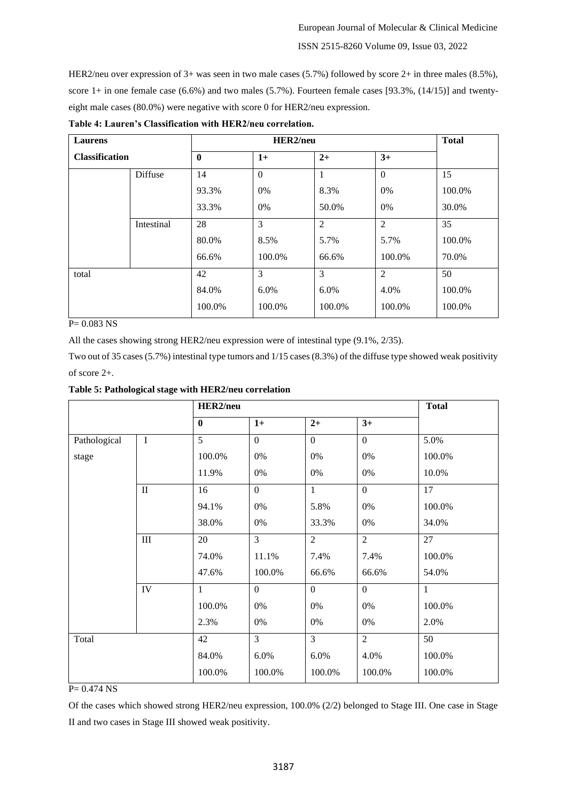HER2/neu over expression of 3+ was seen in two male cases (5.7%) followed by score 2+ in three males (8.5%), score  $1+$  in one female case (6.6%) and two males (5.7%). Fourteen female cases [93.3%, (14/15)] and twentyeight male cases (80.0%) were negative with score 0 for HER2/neu expression.

| Laurens<br><b>Classification</b> |            |              | <b>Total</b> |                |                |        |
|----------------------------------|------------|--------------|--------------|----------------|----------------|--------|
|                                  |            | $\mathbf{0}$ | $1+$         | $2+$           | $3+$           |        |
|                                  | Diffuse    | 14           | $\Omega$     |                | $\overline{0}$ | 15     |
|                                  |            | 93.3%        | 0%           | 8.3%           | 0%             | 100.0% |
|                                  |            | 33.3%        | 0%           | 50.0%          | 0%             | 30.0%  |
|                                  | Intestinal | 28           | 3            | $\overline{2}$ | $\overline{2}$ | 35     |
|                                  |            | 80.0%        | 8.5%         | 5.7%           | 5.7%           | 100.0% |
|                                  |            | 66.6%        | 100.0%       | 66.6%          | 100.0%         | 70.0%  |
| total                            |            | 42           | 3            | 3              | $\overline{2}$ | 50     |
|                                  |            | 84.0%        | 6.0%         | $6.0\%$        | 4.0%           | 100.0% |
|                                  |            | 100.0%       | 100.0%       | 100.0%         | 100.0%         | 100.0% |

**Table 4: Lauren's Classification with HER2/neu correlation.**

P= 0.083 NS

All the cases showing strong HER2/neu expression were of intestinal type (9.1%, 2/35).

Two out of 35 cases (5.7%) intestinal type tumors and 1/15 cases (8.3%) of the diffuse type showed weak positivity of score 2+.

| Table 5: Pathological stage with HER2/neu correlation |
|-------------------------------------------------------|
|-------------------------------------------------------|

|              |              | HER2/neu       |                |                  |                  | <b>Total</b> |  |
|--------------|--------------|----------------|----------------|------------------|------------------|--------------|--|
|              |              | $\bf{0}$       | $1+$           | $2+$             | $3+$             |              |  |
| Pathological | $\mathbf I$  | $\overline{5}$ | $\overline{0}$ | $\overline{0}$   | $\overline{0}$   | 5.0%         |  |
| stage        |              | 100.0%         | 0%             | 0%               | 0%               | 100.0%       |  |
|              |              | 11.9%          | 0%             | 0%               | 0%               | 10.0%        |  |
|              | $\mathbf{I}$ | 16             | $\overline{0}$ | $\mathbf{1}$     | $\boldsymbol{0}$ | 17           |  |
|              |              | 94.1%          | $0\%$          | 5.8%             | $0\%$            | 100.0%       |  |
|              |              | 38.0%          | $0\%$          | 33.3%            | 0%               | 34.0%        |  |
|              | $\rm III$    | 20             | $\overline{3}$ | $\overline{2}$   | $\overline{2}$   | 27           |  |
|              |              | 74.0%          | 11.1%          | 7.4%             | 7.4%             | 100.0%       |  |
|              |              | 47.6%          | 100.0%         | 66.6%            | 66.6%            | 54.0%        |  |
|              | IV           | $\mathbf{1}$   | $\overline{0}$ | $\boldsymbol{0}$ | $\boldsymbol{0}$ | $\mathbf{1}$ |  |
|              |              | 100.0%         | 0%             | 0%               | 0%               | 100.0%       |  |
|              |              | 2.3%           | $0\%$          | 0%               | $0\%$            | 2.0%         |  |
| Total        |              | 42             | 3              | 3                | $\overline{2}$   | 50           |  |
|              |              | 84.0%          | 6.0%           | 6.0%             | 4.0%             | 100.0%       |  |
|              |              | 100.0%         | 100.0%         | 100.0%           | 100.0%           | 100.0%       |  |

 $P = 0.474$  NS

Of the cases which showed strong HER2/neu expression, 100.0% (2/2) belonged to Stage III. One case in Stage II and two cases in Stage III showed weak positivity.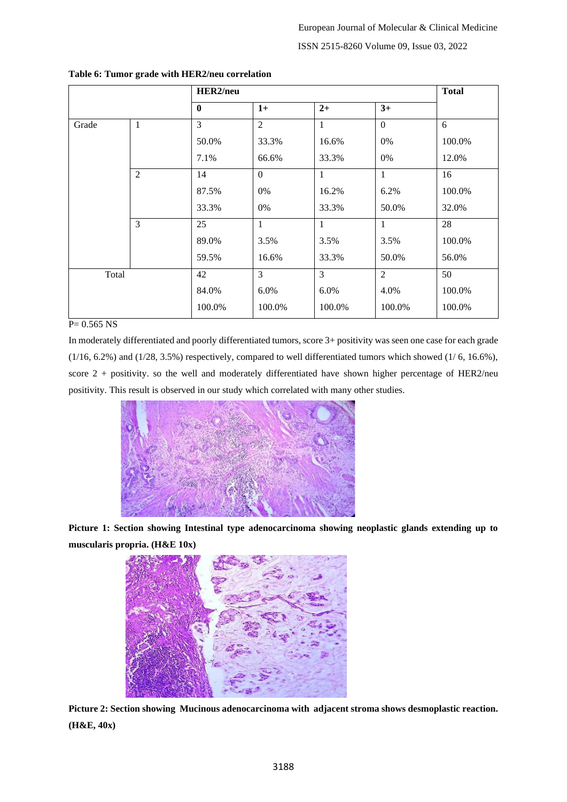|       | HER2/neu       |                |                  |                |                | <b>Total</b> |
|-------|----------------|----------------|------------------|----------------|----------------|--------------|
|       |                | $\mathbf 0$    | $1+$             | $2+$           | $3+$           |              |
| Grade | 1              | $\overline{3}$ | $\overline{2}$   | $\mathbf{1}$   | $\mathbf{0}$   | 6            |
|       |                | 50.0%          | 33.3%            | 16.6%          | 0%             | 100.0%       |
|       |                | 7.1%           | 66.6%            | 33.3%          | 0%             | 12.0%        |
|       | $\overline{2}$ | 14             | $\boldsymbol{0}$ | $\mathbf{1}$   | $\mathbf{1}$   | 16           |
|       |                | 87.5%          | 0%               | 16.2%          | 6.2%           | 100.0%       |
|       |                | 33.3%          | 0%               | 33.3%          | 50.0%          | 32.0%        |
|       | 3              | 25             | $\mathbf{1}$     | 1              | $\mathbf{1}$   | 28           |
|       |                | 89.0%          | 3.5%             | 3.5%           | 3.5%           | 100.0%       |
|       |                | 59.5%          | 16.6%            | 33.3%          | 50.0%          | 56.0%        |
| Total |                | 42             | 3                | $\overline{3}$ | $\overline{2}$ | 50           |
|       |                | 84.0%          | 6.0%             | 6.0%           | 4.0%           | 100.0%       |
|       |                | 100.0%         | 100.0%           | 100.0%         | 100.0%         | 100.0%       |

## **Table 6: Tumor grade with HER2/neu correlation**

#### $P= 0.565$  NS

In moderately differentiated and poorly differentiated tumors, score 3+ positivity was seen one case for each grade (1/16, 6.2%) and (1/28, 3.5%) respectively, compared to well differentiated tumors which showed (1/ 6, 16.6%), score  $2 +$  positivity. so the well and moderately differentiated have shown higher percentage of HER2/neu positivity. This result is observed in our study which correlated with many other studies.



**Picture 1: Section showing Intestinal type adenocarcinoma showing neoplastic glands extending up to muscularis propria. (H&E 10x)**



**Picture 2: Section showing Mucinous adenocarcinoma with adjacent stroma shows desmoplastic reaction. (H&E, 40x)**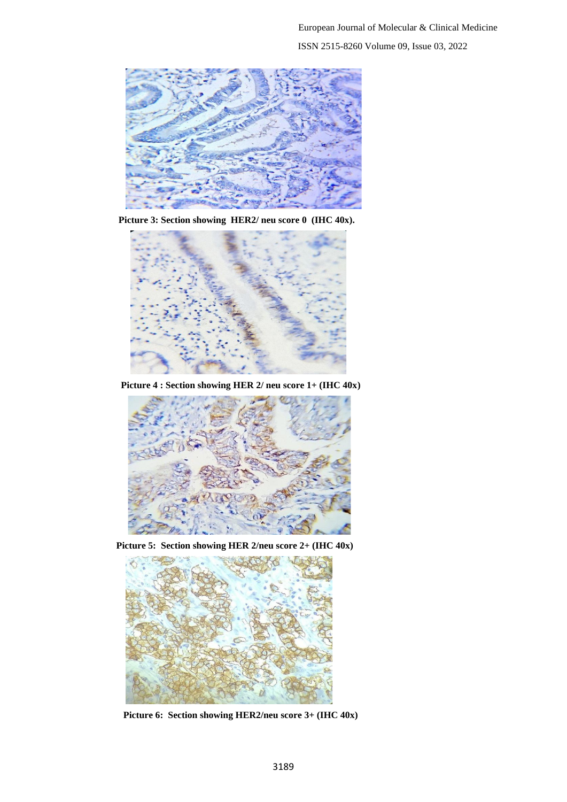

 **Picture 3: Section showing HER2/ neu score 0 (IHC 40x).**



 **Picture 4 : Section showing HER 2/ neu score 1+ (IHC 40x)**



 **Picture 5: Section showing HER 2/neu score 2+ (IHC 40x)**



 **Picture 6: Section showing HER2/neu score 3+ (IHC 40x)**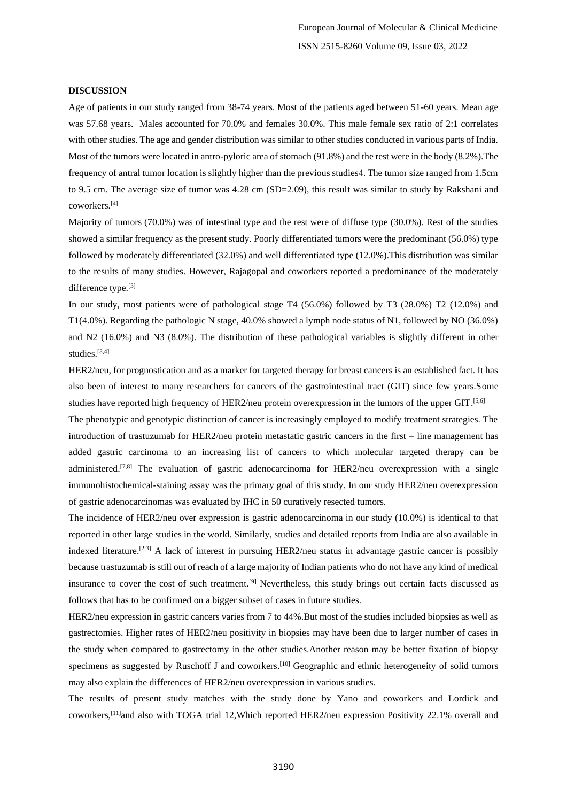European Journal of Molecular & Clinical Medicine ISSN 2515-8260 Volume 09, Issue 03, 2022

#### **DISCUSSION**

Age of patients in our study ranged from 38-74 years. Most of the patients aged between 51-60 years. Mean age was 57.68 years. Males accounted for 70.0% and females 30.0%. This male female sex ratio of 2:1 correlates with other studies. The age and gender distribution was similar to other studies conducted in various parts of India. Most of the tumors were located in antro-pyloric area of stomach (91.8%) and the rest were in the body (8.2%).The frequency of antral tumor location is slightly higher than the previous studies4. The tumor size ranged from 1.5cm to 9.5 cm. The average size of tumor was 4.28 cm (SD=2.09), this result was similar to study by Rakshani and coworkers. [4]

Majority of tumors (70.0%) was of intestinal type and the rest were of diffuse type (30.0%). Rest of the studies showed a similar frequency as the present study. Poorly differentiated tumors were the predominant (56.0%) type followed by moderately differentiated (32.0%) and well differentiated type (12.0%).This distribution was similar to the results of many studies. However, Rajagopal and coworkers reported a predominance of the moderately difference type.<sup>[3]</sup>

In our study, most patients were of pathological stage T4 (56.0%) followed by T3 (28.0%) T2 (12.0%) and T1(4.0%). Regarding the pathologic N stage, 40.0% showed a lymph node status of N1, followed by NO (36.0%) and N2 (16.0%) and N3 (8.0%). The distribution of these pathological variables is slightly different in other studies.<sup>[3,4]</sup>

HER2/neu, for prognostication and as a marker for targeted therapy for breast cancers is an established fact. It has also been of interest to many researchers for cancers of the gastrointestinal tract (GIT) since few years.Some studies have reported high frequency of HER2/neu protein overexpression in the tumors of the upper GIT.<sup>[5,6]</sup>

The phenotypic and genotypic distinction of cancer is increasingly employed to modify treatment strategies. The introduction of trastuzumab for HER2/neu protein metastatic gastric cancers in the first – line management has added gastric carcinoma to an increasing list of cancers to which molecular targeted therapy can be administered.<sup>[7,8]</sup> The evaluation of gastric adenocarcinoma for HER2/neu overexpression with a single immunohistochemical-staining assay was the primary goal of this study. In our study HER2/neu overexpression of gastric adenocarcinomas was evaluated by IHC in 50 curatively resected tumors.

The incidence of HER2/neu over expression is gastric adenocarcinoma in our study (10.0%) is identical to that reported in other large studies in the world. Similarly, studies and detailed reports from India are also available in indexed literature.<sup>[2,3]</sup> A lack of interest in pursuing HER2/neu status in advantage gastric cancer is possibly because trastuzumab is still out of reach of a large majority of Indian patients who do not have any kind of medical insurance to cover the cost of such treatment.<sup>[9]</sup> Nevertheless, this study brings out certain facts discussed as follows that has to be confirmed on a bigger subset of cases in future studies.

HER2/neu expression in gastric cancers varies from 7 to 44%.But most of the studies included biopsies as well as gastrectomies. Higher rates of HER2/neu positivity in biopsies may have been due to larger number of cases in the study when compared to gastrectomy in the other studies.Another reason may be better fixation of biopsy specimens as suggested by Ruschoff J and coworkers.<sup>[10]</sup> Geographic and ethnic heterogeneity of solid tumors may also explain the differences of HER2/neu overexpression in various studies.

The results of present study matches with the study done by Yano and coworkers and Lordick and coworkers,<sup>[11]</sup>and also with TOGA trial 12, Which reported HER2/neu expression Positivity 22.1% overall and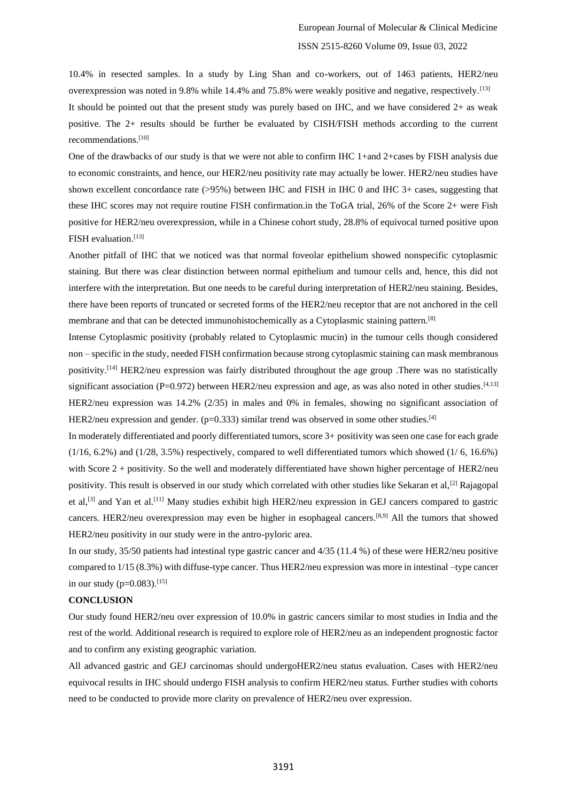10.4% in resected samples. In a study by Ling Shan and co-workers, out of 1463 patients, HER2/neu overexpression was noted in 9.8% while 14.4% and 75.8% were weakly positive and negative, respectively.[13] It should be pointed out that the present study was purely based on IHC, and we have considered 2+ as weak positive. The 2+ results should be further be evaluated by CISH/FISH methods according to the current recommendations.[10]

One of the drawbacks of our study is that we were not able to confirm IHC 1+and 2+cases by FISH analysis due to economic constraints, and hence, our HER2/neu positivity rate may actually be lower. HER2/neu studies have shown excellent concordance rate (>95%) between IHC and FISH in IHC 0 and IHC 3+ cases, suggesting that these IHC scores may not require routine FISH confirmation.in the ToGA trial, 26% of the Score 2+ were Fish positive for HER2/neu overexpression, while in a Chinese cohort study, 28.8% of equivocal turned positive upon FISH evaluation.<sup>[13]</sup>

Another pitfall of IHC that we noticed was that normal foveolar epithelium showed nonspecific cytoplasmic staining. But there was clear distinction between normal epithelium and tumour cells and, hence, this did not interfere with the interpretation. But one needs to be careful during interpretation of HER2/neu staining. Besides, there have been reports of truncated or secreted forms of the HER2/neu receptor that are not anchored in the cell membrane and that can be detected immunohistochemically as a Cytoplasmic staining pattern.<sup>[8]</sup>

Intense Cytoplasmic positivity (probably related to Cytoplasmic mucin) in the tumour cells though considered non – specific in the study, needed FISH confirmation because strong cytoplasmic staining can mask membranous positivity.[14] HER2/neu expression was fairly distributed throughout the age group .There was no statistically significant association (P=0.972) between HER2/neu expression and age, as was also noted in other studies. $[4,13]$ HER2/neu expression was 14.2% (2/35) in males and 0% in females, showing no significant association of HER2/neu expression and gender.  $(p=0.333)$  similar trend was observed in some other studies.<sup>[4]</sup>

In moderately differentiated and poorly differentiated tumors, score 3+ positivity was seen one case for each grade (1/16, 6.2%) and (1/28, 3.5%) respectively, compared to well differentiated tumors which showed (1/ 6, 16.6%) with Score 2 + positivity. So the well and moderately differentiated have shown higher percentage of HER2/neu positivity. This result is observed in our study which correlated with other studies like Sekaran et al,[2] Rajagopal et al,<sup>[3]</sup> and Yan et al.<sup>[11]</sup> Many studies exhibit high HER2/neu expression in GEJ cancers compared to gastric cancers. HER2/neu overexpression may even be higher in esophageal cancers.<sup>[8,9]</sup> All the tumors that showed HER2/neu positivity in our study were in the antro-pyloric area.

In our study, 35/50 patients had intestinal type gastric cancer and 4/35 (11.4 %) of these were HER2/neu positive compared to 1/15 (8.3%) with diffuse-type cancer. Thus HER2/neu expression was more in intestinal –type cancer in our study ( $p=0.083$ ).<sup>[15]</sup>

# **CONCLUSION**

Our study found HER2/neu over expression of 10.0% in gastric cancers similar to most studies in India and the rest of the world. Additional research is required to explore role of HER2/neu as an independent prognostic factor and to confirm any existing geographic variation.

All advanced gastric and GEJ carcinomas should undergoHER2/neu status evaluation. Cases with HER2/neu equivocal results in IHC should undergo FISH analysis to confirm HER2/neu status. Further studies with cohorts need to be conducted to provide more clarity on prevalence of HER2/neu over expression.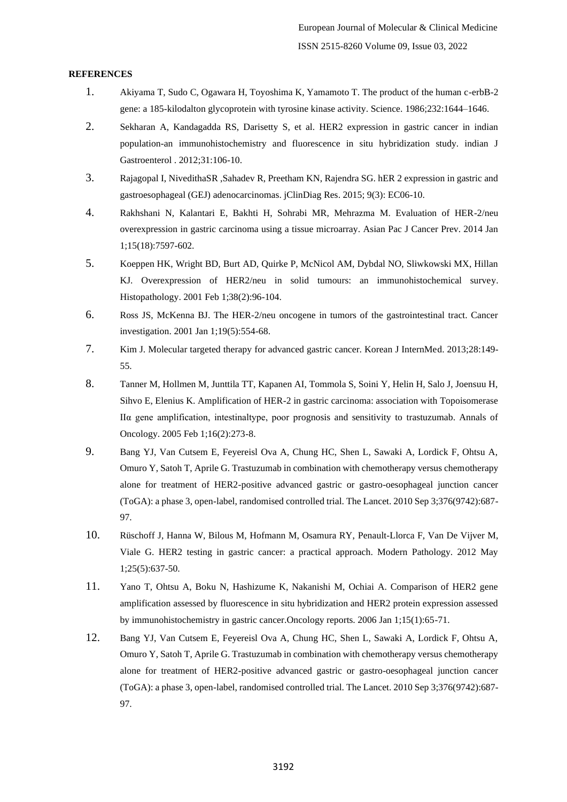## **REFERENCES**

- 1. Akiyama T, Sudo C, Ogawara H, Toyoshima K, Yamamoto T. The product of the human c-erbB-2 gene: a 185-kilodalton glycoprotein with tyrosine kinase activity. Science. 1986;232:1644–1646.
- 2. Sekharan A, Kandagadda RS, Darisetty S, et al. HER2 expression in gastric cancer in indian population-an immunohistochemistry and fluorescence in situ hybridization study. indian J Gastroenterol . 2012;31:106-10.
- 3. Rajagopal I, NivedithaSR ,Sahadev R, Preetham KN, Rajendra SG. hER 2 expression in gastric and gastroesophageal (GEJ) adenocarcinomas. jClinDiag Res. 2015; 9(3): EC06-10.
- 4. Rakhshani N, Kalantari E, Bakhti H, Sohrabi MR, Mehrazma M. Evaluation of HER-2/neu overexpression in gastric carcinoma using a tissue microarray. Asian Pac J Cancer Prev. 2014 Jan 1;15(18):7597-602.
- 5. Koeppen HK, Wright BD, Burt AD, Quirke P, McNicol AM, Dybdal NO, Sliwkowski MX, Hillan KJ. Overexpression of HER2/neu in solid tumours: an immunohistochemical survey. Histopathology. 2001 Feb 1;38(2):96-104.
- 6. Ross JS, McKenna BJ. The HER-2/neu oncogene in tumors of the gastrointestinal tract. Cancer investigation. 2001 Jan 1;19(5):554-68.
- 7. Kim J. Molecular targeted therapy for advanced gastric cancer. Korean J InternMed. 2013;28:149- 55.
- 8. Tanner M, Hollmen M, Junttila TT, Kapanen AI, Tommola S, Soini Y, Helin H, Salo J, Joensuu H, Sihvo E, Elenius K. Amplification of HER-2 in gastric carcinoma: association with Topoisomerase IIα gene amplification, intestinaltype, poor prognosis and sensitivity to trastuzumab. Annals of Oncology. 2005 Feb 1;16(2):273-8.
- 9. Bang YJ, Van Cutsem E, Feyereisl Ova A, Chung HC, Shen L, Sawaki A, Lordick F, Ohtsu A, Omuro Y, Satoh T, Aprile G. Trastuzumab in combination with chemotherapy versus chemotherapy alone for treatment of HER2-positive advanced gastric or gastro-oesophageal junction cancer (ToGA): a phase 3, open-label, randomised controlled trial. The Lancet. 2010 Sep 3;376(9742):687- 97.
- 10. Rüschoff J, Hanna W, Bilous M, Hofmann M, Osamura RY, Penault-Llorca F, Van De Vijver M, Viale G. HER2 testing in gastric cancer: a practical approach. Modern Pathology. 2012 May 1;25(5):637-50.
- 11. Yano T, Ohtsu A, Boku N, Hashizume K, Nakanishi M, Ochiai A. Comparison of HER2 gene amplification assessed by fluorescence in situ hybridization and HER2 protein expression assessed by immunohistochemistry in gastric cancer.Oncology reports. 2006 Jan 1;15(1):65-71.
- 12. Bang YJ, Van Cutsem E, Feyereisl Ova A, Chung HC, Shen L, Sawaki A, Lordick F, Ohtsu A, Omuro Y, Satoh T, Aprile G. Trastuzumab in combination with chemotherapy versus chemotherapy alone for treatment of HER2-positive advanced gastric or gastro-oesophageal junction cancer (ToGA): a phase 3, open-label, randomised controlled trial. The Lancet. 2010 Sep 3;376(9742):687- 97.